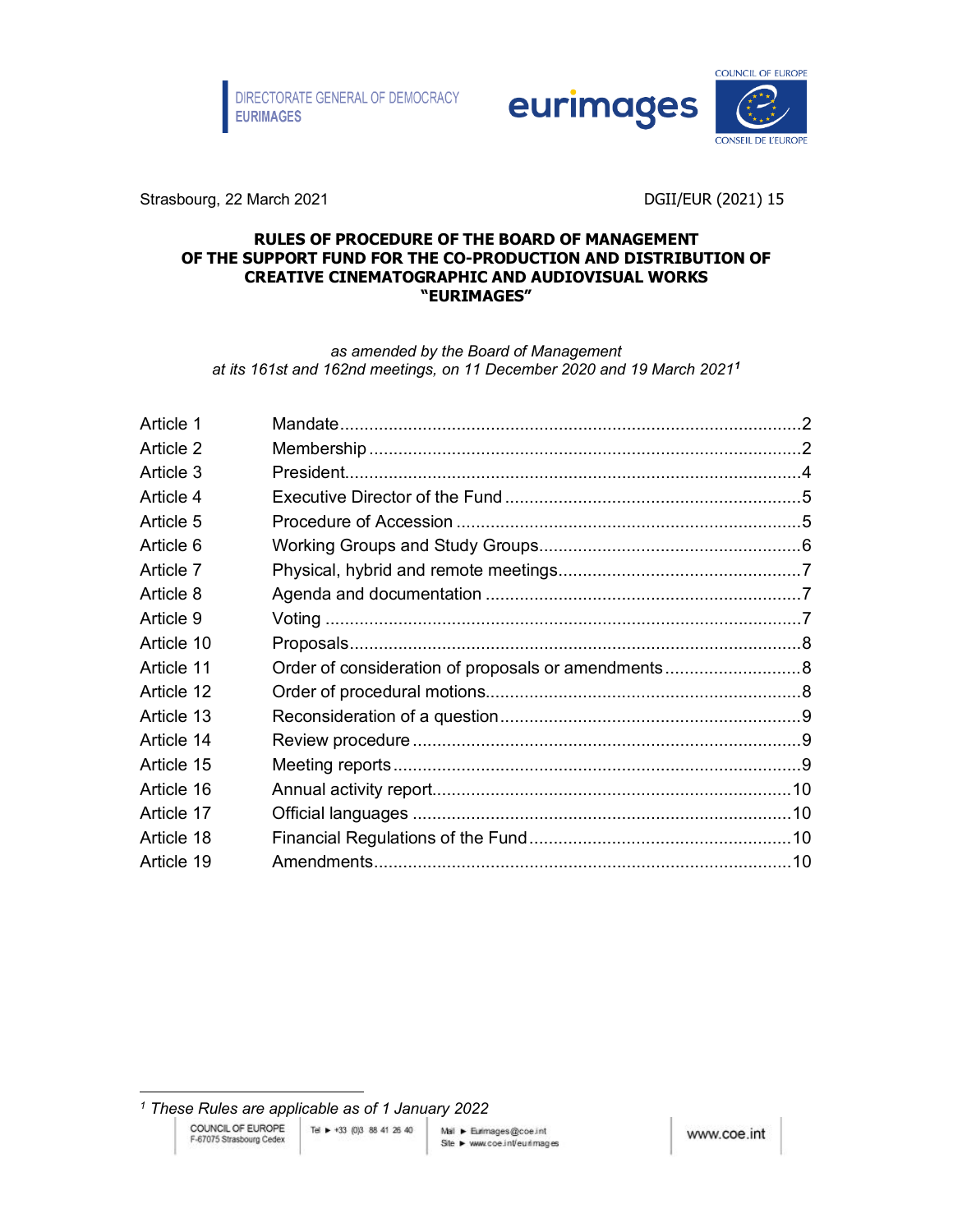



Strasbourg, 22 March 2021 **DGII/EUR (2021)** 15

#### **RULES OF PROCEDURE OF THE BOARD OF MANAGEMENT OF THE SUPPORT FUND FOR THE CO-PRODUCTION AND DISTRIBUTION OF CREATIVE CINEMATOGRAPHIC AND AUDIOVISUAL WORKS "EURIMAGES"**

*as amended by the Board of Management at its 161st and 162nd meetings, on 11 December 2020 and 19 March 2021[1](#page-0-0)*

| Order of consideration of proposals or amendments8 |
|----------------------------------------------------|

<span id="page-0-0"></span>*<sup>1</sup> These Rules are applicable as of 1 January 2022*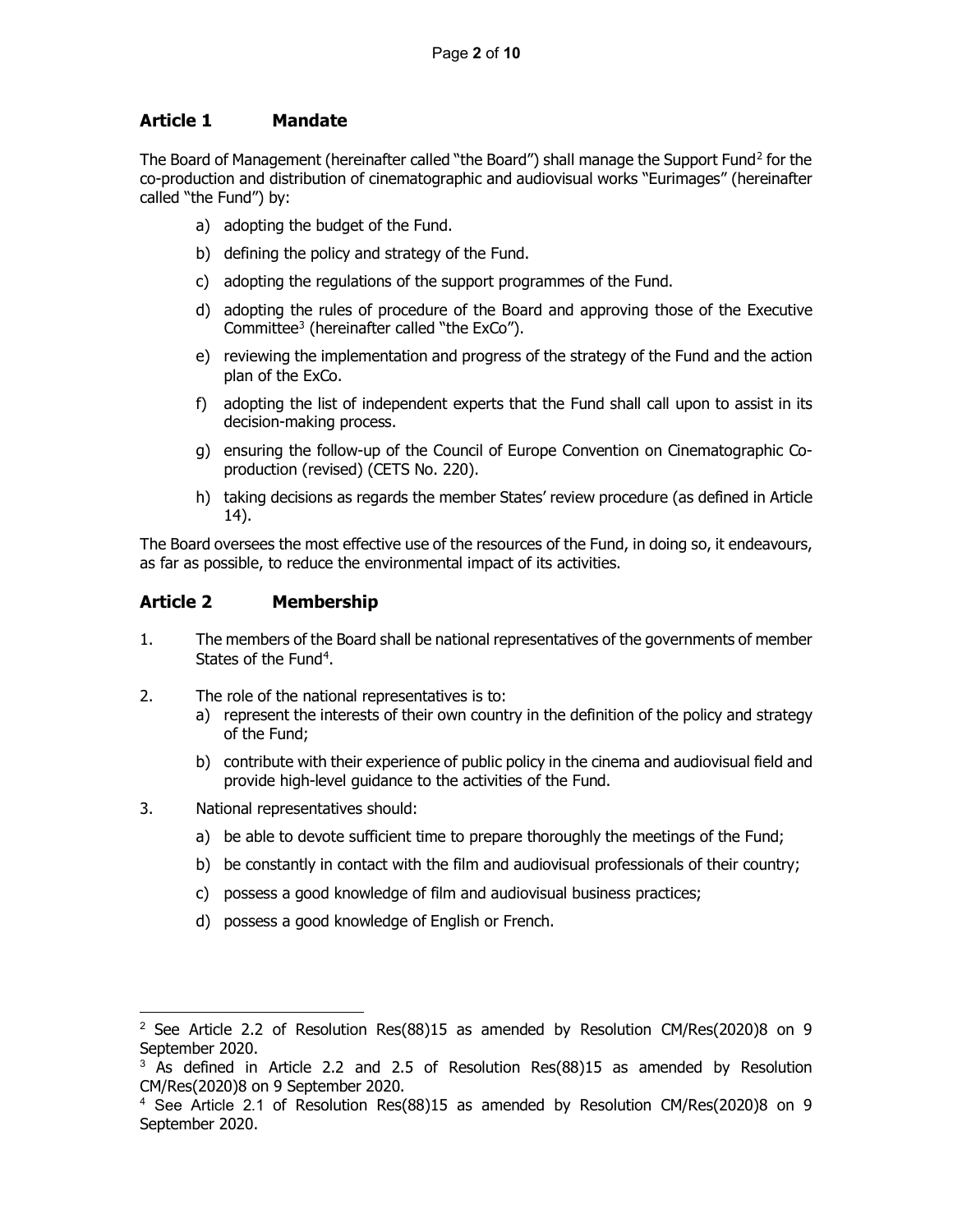# <span id="page-1-0"></span>**Article 1 Mandate**

The Board of Management (hereinafter called "the Board") shall manage the Support Fund<sup>[2](#page-1-2)</sup> for the co-production and distribution of cinematographic and audiovisual works "Eurimages" (hereinafter called "the Fund") by:

- a) adopting the budget of the Fund.
- b) defining the policy and strategy of the Fund.
- c) adopting the regulations of the support programmes of the Fund.
- d) adopting the rules of procedure of the Board and approving those of the Executive Committee[3](#page-1-3) (hereinafter called "the ExCo").
- e) reviewing the implementation and progress of the strategy of the Fund and the action plan of the ExCo.
- f) adopting the list of independent experts that the Fund shall call upon to assist in its decision-making process.
- g) ensuring the follow-up of the Council of Europe Convention on Cinematographic Coproduction (revised) (CETS No. 220).
- h) taking decisions as regards the member States' review procedure (as defined in Article 14).

The Board oversees the most effective use of the resources of the Fund, in doing so, it endeavours, as far as possible, to reduce the environmental impact of its activities.

## <span id="page-1-1"></span>**Article 2 Membership**

- 1. The members of the Board shall be national representatives of the governments of member States of the Fund<sup>[4](#page-1-4)</sup>.
- 2. The role of the national representatives is to:
	- a) represent the interests of their own country in the definition of the policy and strategy of the Fund;
	- b) contribute with their experience of public policy in the cinema and audiovisual field and provide high-level guidance to the activities of the Fund.
- 3. National representatives should:
	- a) be able to devote sufficient time to prepare thoroughly the meetings of the Fund;
	- b) be constantly in contact with the film and audiovisual professionals of their country;
	- c) possess a good knowledge of film and audiovisual business practices;
	- d) possess a good knowledge of English or French.

<span id="page-1-2"></span><sup>&</sup>lt;sup>2</sup> See Article 2.2 of Resolution Res(88)15 as amended by Resolution CM/Res(2020)8 on 9 September 2020.

<span id="page-1-3"></span><sup>&</sup>lt;sup>3</sup> As defined in Article 2.2 and 2.5 of Resolution Res(88)15 as amended by Resolution CM/Res(2020)8 on 9 September 2020.

<span id="page-1-4"></span> $4$  See Article 2.1 of Resolution Res(88)15 as amended by Resolution CM/Res(2020)8 on 9 September 2020.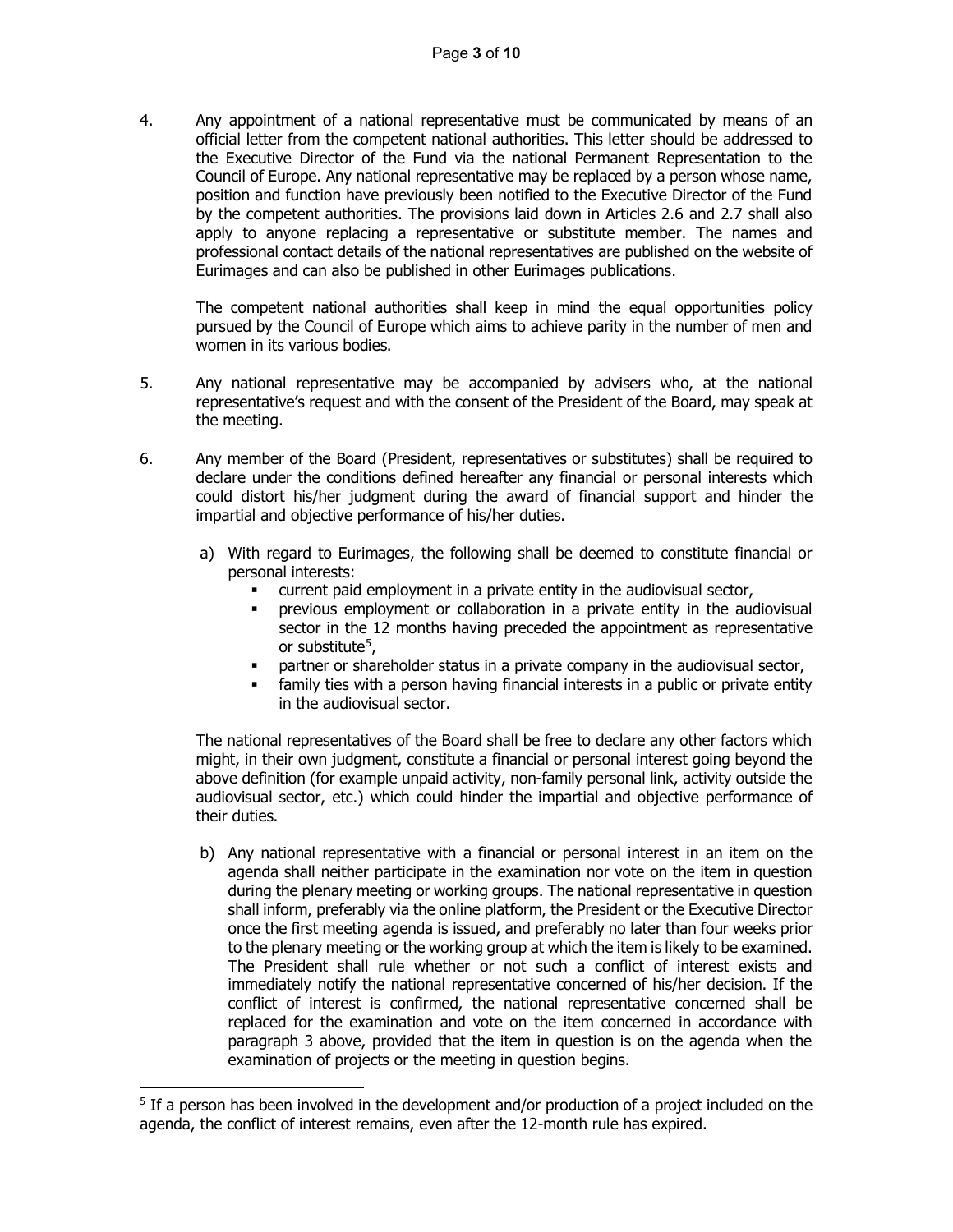4. Any appointment of a national representative must be communicated by means of an official letter from the competent national authorities. This letter should be addressed to the Executive Director of the Fund via the national Permanent Representation to the Council of Europe. Any national representative may be replaced by a person whose name, position and function have previously been notified to the Executive Director of the Fund by the competent authorities. The provisions laid down in Articles 2.6 and 2.7 shall also apply to anyone replacing a representative or substitute member. The names and professional contact details of the national representatives are published on the website of Eurimages and can also be published in other Eurimages publications.

The competent national authorities shall keep in mind the equal opportunities policy pursued by the Council of Europe which aims to achieve parity in the number of men and women in its various bodies.

- 5. Any national representative may be accompanied by advisers who, at the national representative's request and with the consent of the President of the Board, may speak at the meeting.
- 6. Any member of the Board (President, representatives or substitutes) shall be required to declare under the conditions defined hereafter any financial or personal interests which could distort his/her judgment during the award of financial support and hinder the impartial and objective performance of his/her duties.
	- a) With regard to Eurimages, the following shall be deemed to constitute financial or personal interests:
		- current paid employment in a private entity in the audiovisual sector,
		- previous employment or collaboration in a private entity in the audiovisual sector in the 12 months having preceded the appointment as representative or substitute<sup>5</sup>.
		- partner or shareholder status in a private company in the audiovisual sector,
		- family ties with a person having financial interests in a public or private entity in the audiovisual sector.

The national representatives of the Board shall be free to declare any other factors which might, in their own judgment, constitute a financial or personal interest going beyond the above definition (for example unpaid activity, non-family personal link, activity outside the audiovisual sector, etc.) which could hinder the impartial and objective performance of their duties.

b) Any national representative with a financial or personal interest in an item on the agenda shall neither participate in the examination nor vote on the item in question during the plenary meeting or working groups. The national representative in question shall inform, preferably via the online platform, the President or the Executive Director once the first meeting agenda is issued, and preferably no later than four weeks prior to the plenary meeting or the working group at which the item is likely to be examined. The President shall rule whether or not such a conflict of interest exists and immediately notify the national representative concerned of his/her decision. If the conflict of interest is confirmed, the national representative concerned shall be replaced for the examination and vote on the item concerned in accordance with paragraph 3 above, provided that the item in question is on the agenda when the examination of projects or the meeting in question begins.

<span id="page-2-0"></span><sup>&</sup>lt;sup>5</sup> If a person has been involved in the development and/or production of a project included on the agenda, the conflict of interest remains, even after the 12-month rule has expired.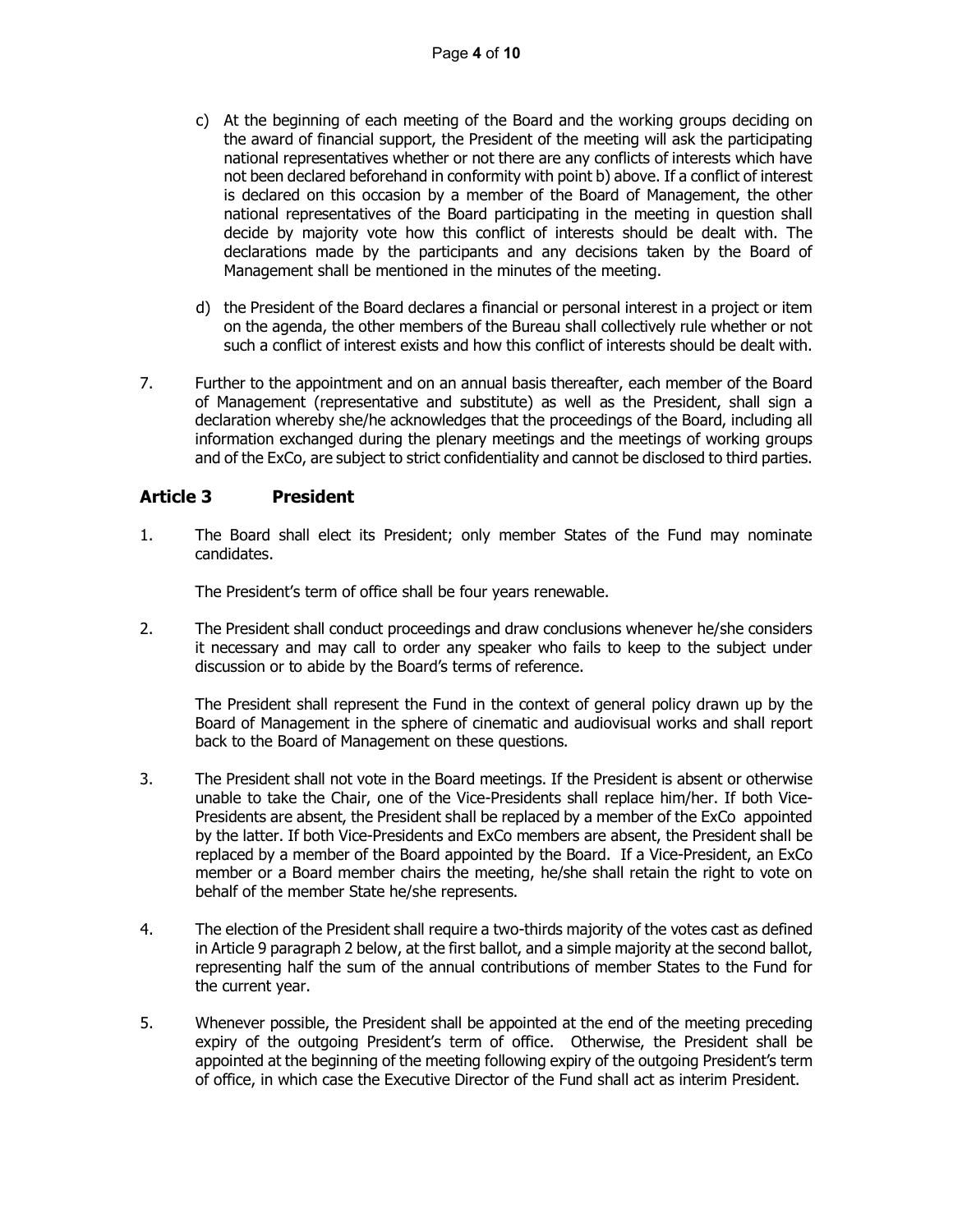- c) At the beginning of each meeting of the Board and the working groups deciding on the award of financial support, the President of the meeting will ask the participating national representatives whether or not there are any conflicts of interests which have not been declared beforehand in conformity with point b) above. If a conflict of interest is declared on this occasion by a member of the Board of Management, the other national representatives of the Board participating in the meeting in question shall decide by majority vote how this conflict of interests should be dealt with. The declarations made by the participants and any decisions taken by the Board of Management shall be mentioned in the minutes of the meeting.
- d) the President of the Board declares a financial or personal interest in a project or item on the agenda, the other members of the Bureau shall collectively rule whether or not such a conflict of interest exists and how this conflict of interests should be dealt with.
- 7. Further to the appointment and on an annual basis thereafter, each member of the Board of Management (representative and substitute) as well as the President, shall sign a declaration whereby she/he acknowledges that the proceedings of the Board, including all information exchanged during the plenary meetings and the meetings of working groups and of the ExCo, are subject to strict confidentiality and cannot be disclosed to third parties.

## <span id="page-3-0"></span>**Article 3 President**

1. The Board shall elect its President; only member States of the Fund may nominate candidates.

The President's term of office shall be four years renewable.

2. The President shall conduct proceedings and draw conclusions whenever he/she considers it necessary and may call to order any speaker who fails to keep to the subject under discussion or to abide by the Board's terms of reference.

The President shall represent the Fund in the context of general policy drawn up by the Board of Management in the sphere of cinematic and audiovisual works and shall report back to the Board of Management on these questions.

- 3. The President shall not vote in the Board meetings. If the President is absent or otherwise unable to take the Chair, one of the Vice-Presidents shall replace him/her. If both Vice-Presidents are absent, the President shall be replaced by a member of the ExCo appointed by the latter. If both Vice-Presidents and ExCo members are absent, the President shall be replaced by a member of the Board appointed by the Board. If a Vice-President, an ExCo member or a Board member chairs the meeting, he/she shall retain the right to vote on behalf of the member State he/she represents.
- 4. The election of the President shall require a two-thirds majority of the votes cast as defined in Article 9 paragraph 2 below, at the first ballot, and a simple majority at the second ballot, representing half the sum of the annual contributions of member States to the Fund for the current year.
- 5. Whenever possible, the President shall be appointed at the end of the meeting preceding expiry of the outgoing President's term of office. Otherwise, the President shall be appointed at the beginning of the meeting following expiry of the outgoing President's term of office, in which case the Executive Director of the Fund shall act as interim President.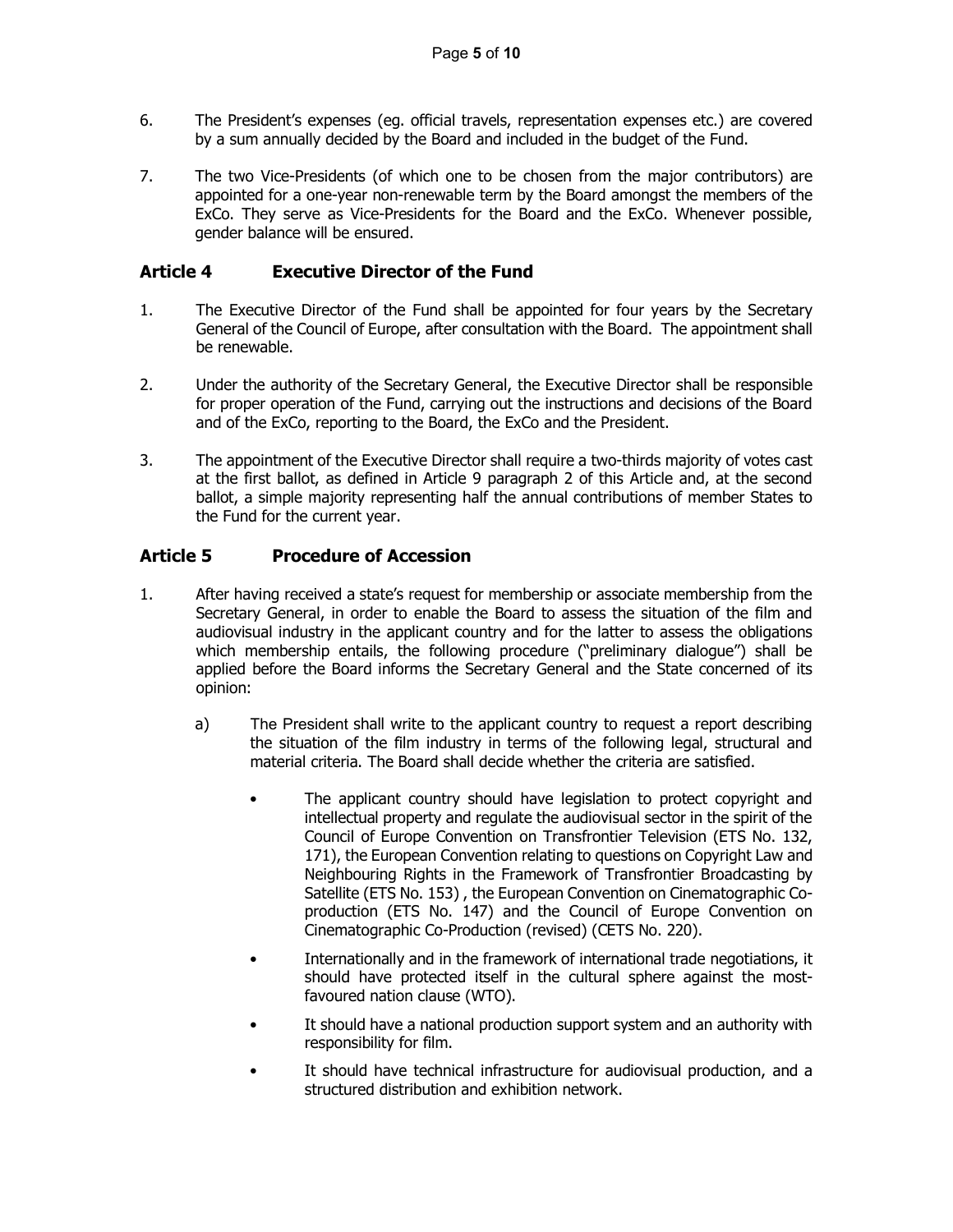- 6. The President's expenses (eg. official travels, representation expenses etc.) are covered by a sum annually decided by the Board and included in the budget of the Fund.
- 7. The two Vice-Presidents (of which one to be chosen from the major contributors) are appointed for a one-year non-renewable term by the Board amongst the members of the ExCo. They serve as Vice-Presidents for the Board and the ExCo. Whenever possible, gender balance will be ensured.

# <span id="page-4-0"></span>**Article 4 Executive Director of the Fund**

- 1. The Executive Director of the Fund shall be appointed for four years by the Secretary General of the Council of Europe, after consultation with the Board. The appointment shall be renewable.
- 2. Under the authority of the Secretary General, the Executive Director shall be responsible for proper operation of the Fund, carrying out the instructions and decisions of the Board and of the ExCo, reporting to the Board, the ExCo and the President.
- 3. The appointment of the Executive Director shall require a two-thirds majority of votes cast at the first ballot, as defined in Article 9 paragraph 2 of this Article and, at the second ballot, a simple majority representing half the annual contributions of member States to the Fund for the current year.

# <span id="page-4-1"></span>**Article 5 Procedure of Accession**

- 1. After having received a state's request for membership or associate membership from the Secretary General, in order to enable the Board to assess the situation of the film and audiovisual industry in the applicant country and for the latter to assess the obligations which membership entails, the following procedure ("preliminary dialogue") shall be applied before the Board informs the Secretary General and the State concerned of its opinion:
	- a) The President shall write to the applicant country to request a report describing the situation of the film industry in terms of the following legal, structural and material criteria. The Board shall decide whether the criteria are satisfied.
		- The applicant country should have legislation to protect copyright and intellectual property and regulate the audiovisual sector in the spirit of the Council of Europe Convention on Transfrontier Television (ETS No. 132, 171), the European Convention relating to questions on Copyright Law and Neighbouring Rights in the Framework of Transfrontier Broadcasting by Satellite (ETS No. 153) , the European Convention on Cinematographic Coproduction (ETS No. 147) and the Council of Europe Convention on Cinematographic Co-Production (revised) (CETS No. 220).
		- Internationally and in the framework of international trade negotiations, it should have protected itself in the cultural sphere against the mostfavoured nation clause (WTO).
		- It should have a national production support system and an authority with responsibility for film.
		- It should have technical infrastructure for audiovisual production, and a structured distribution and exhibition network.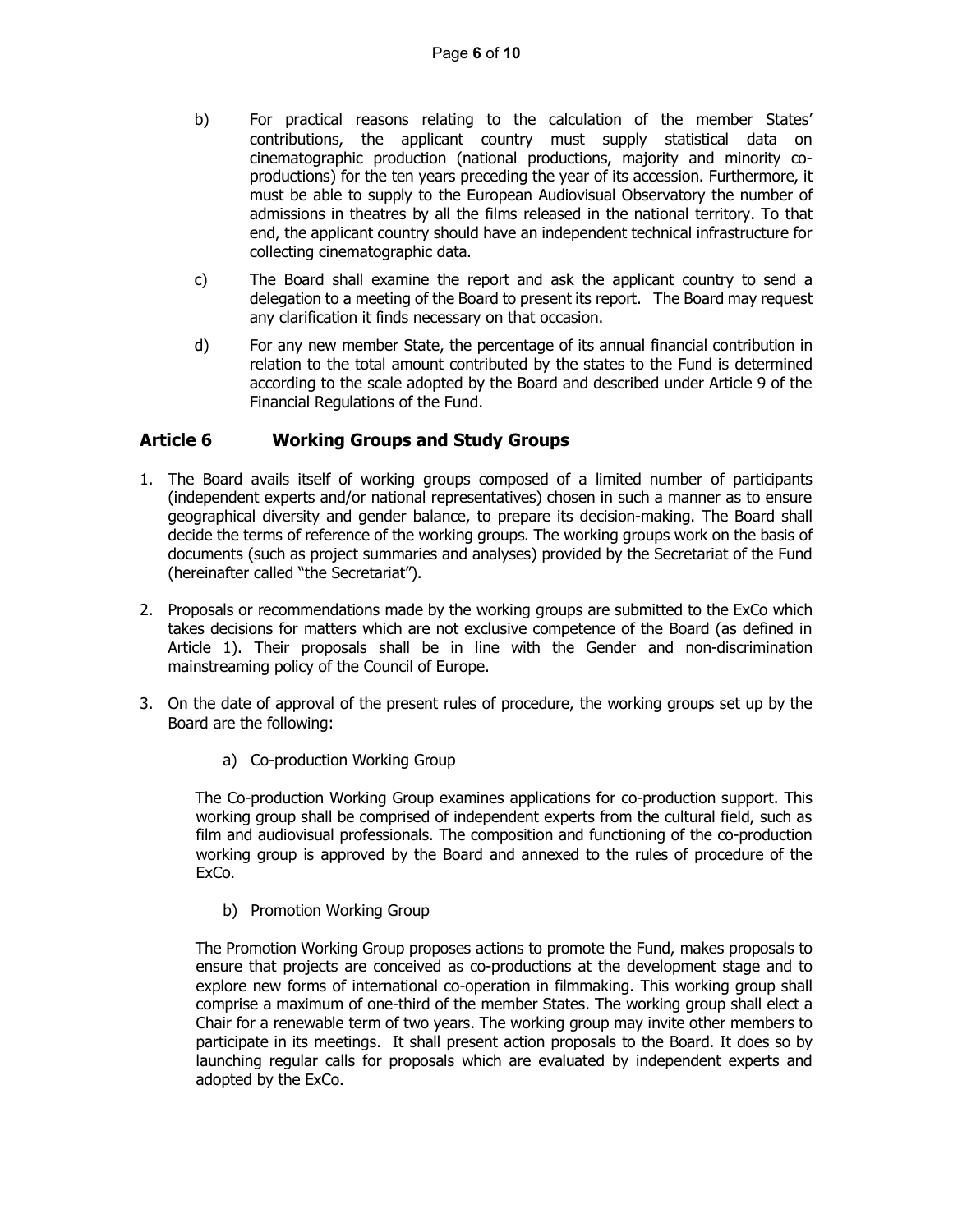- b) For practical reasons relating to the calculation of the member States' contributions, the applicant country must supply statistical data on cinematographic production (national productions, majority and minority coproductions) for the ten years preceding the year of its accession. Furthermore, it must be able to supply to the European Audiovisual Observatory the number of admissions in theatres by all the films released in the national territory. To that end, the applicant country should have an independent technical infrastructure for collecting cinematographic data.
- c) The Board shall examine the report and ask the applicant country to send a delegation to a meeting of the Board to present its report. The Board may request any clarification it finds necessary on that occasion.
- d) For any new member State, the percentage of its annual financial contribution in relation to the total amount contributed by the states to the Fund is determined according to the scale adopted by the Board and described under Article 9 of the Financial Regulations of the Fund.

### <span id="page-5-0"></span>**Article 6 Working Groups and Study Groups**

- 1. The Board avails itself of working groups composed of a limited number of participants (independent experts and/or national representatives) chosen in such a manner as to ensure geographical diversity and gender balance, to prepare its decision-making. The Board shall decide the terms of reference of the working groups. The working groups work on the basis of documents (such as project summaries and analyses) provided by the Secretariat of the Fund (hereinafter called "the Secretariat").
- 2. Proposals or recommendations made by the working groups are submitted to the ExCo which takes decisions for matters which are not exclusive competence of the Board (as defined in Article 1). Their proposals shall be in line with the Gender and non-discrimination mainstreaming policy of the Council of Europe.
- 3. On the date of approval of the present rules of procedure, the working groups set up by the Board are the following:
	- a) Co-production Working Group

The Co-production Working Group examines applications for co-production support. This working group shall be comprised of independent experts from the cultural field, such as film and audiovisual professionals. The composition and functioning of the co-production working group is approved by the Board and annexed to the rules of procedure of the ExCo.

b) Promotion Working Group

The Promotion Working Group proposes actions to promote the Fund, makes proposals to ensure that projects are conceived as co-productions at the development stage and to explore new forms of international co-operation in filmmaking. This working group shall comprise a maximum of one-third of the member States. The working group shall elect a Chair for a renewable term of two years. The working group may invite other members to participate in its meetings. It shall present action proposals to the Board. It does so by launching regular calls for proposals which are evaluated by independent experts and adopted by the ExCo.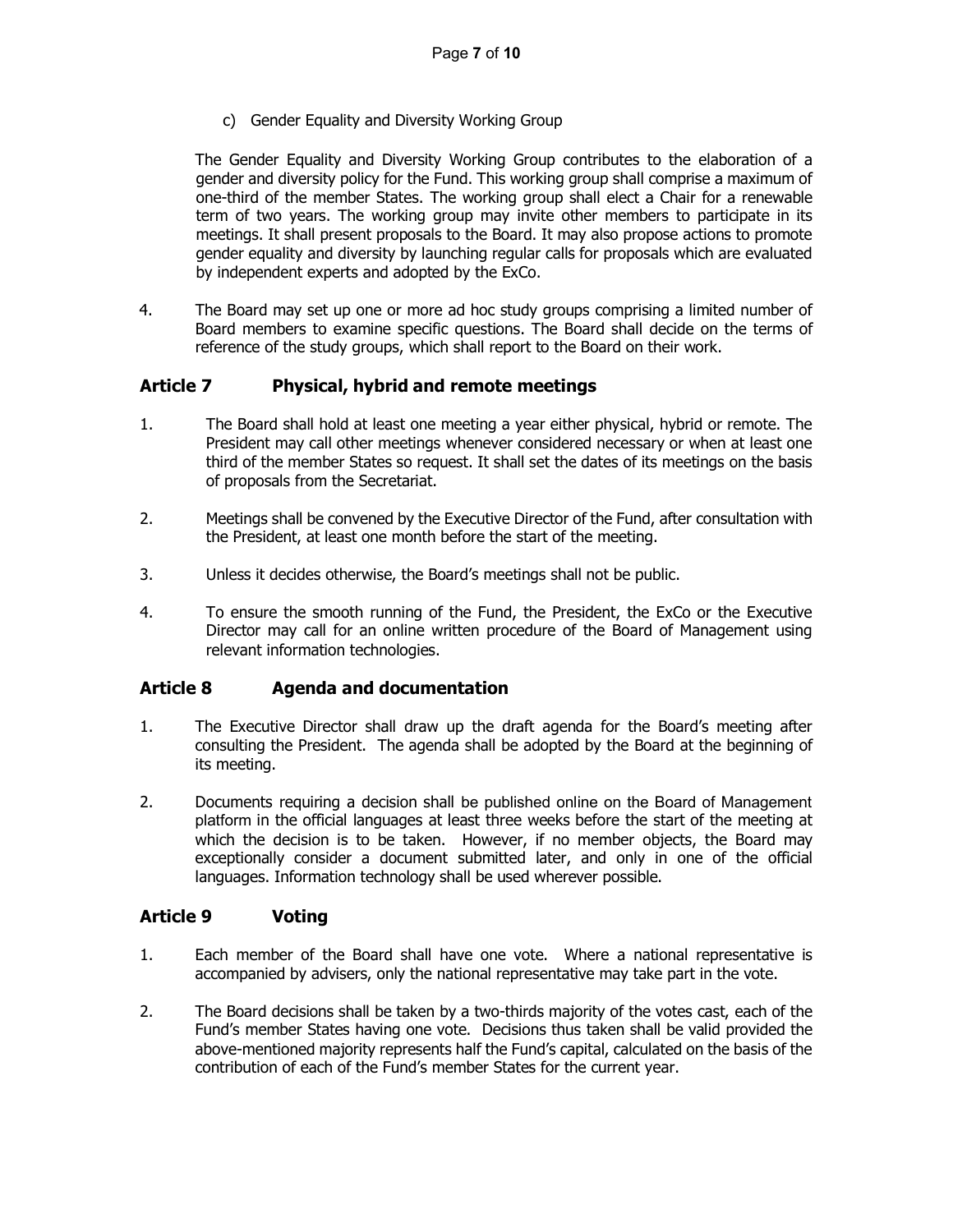c) Gender Equality and Diversity Working Group

The Gender Equality and Diversity Working Group contributes to the elaboration of a gender and diversity policy for the Fund. This working group shall comprise a maximum of one-third of the member States. The working group shall elect a Chair for a renewable term of two years. The working group may invite other members to participate in its meetings. It shall present proposals to the Board. It may also propose actions to promote gender equality and diversity by launching regular calls for proposals which are evaluated by independent experts and adopted by the ExCo.

4. The Board may set up one or more ad hoc study groups comprising a limited number of Board members to examine specific questions. The Board shall decide on the terms of reference of the study groups, which shall report to the Board on their work.

## <span id="page-6-0"></span>**Article 7 Physical, hybrid and remote meetings**

- 1. The Board shall hold at least one meeting a year either physical, hybrid or remote. The President may call other meetings whenever considered necessary or when at least one third of the member States so request. It shall set the dates of its meetings on the basis of proposals from the Secretariat.
- 2. Meetings shall be convened by the Executive Director of the Fund, after consultation with the President, at least one month before the start of the meeting.
- 3. Unless it decides otherwise, the Board's meetings shall not be public.
- 4. To ensure the smooth running of the Fund, the President, the ExCo or the Executive Director may call for an online written procedure of the Board of Management using relevant information technologies.

### <span id="page-6-1"></span>**Article 8 Agenda and documentation**

- 1. The Executive Director shall draw up the draft agenda for the Board's meeting after consulting the President. The agenda shall be adopted by the Board at the beginning of its meeting.
- 2. Documents requiring a decision shall be published online on the Board of Management platform in the official languages at least three weeks before the start of the meeting at which the decision is to be taken. However, if no member objects, the Board may exceptionally consider a document submitted later, and only in one of the official languages. Information technology shall be used wherever possible.

### <span id="page-6-2"></span>**Article 9 Voting**

- 1. Each member of the Board shall have one vote. Where a national representative is accompanied by advisers, only the national representative may take part in the vote.
- 2. The Board decisions shall be taken by a two-thirds majority of the votes cast, each of the Fund's member States having one vote. Decisions thus taken shall be valid provided the above-mentioned majority represents half the Fund's capital, calculated on the basis of the contribution of each of the Fund's member States for the current year.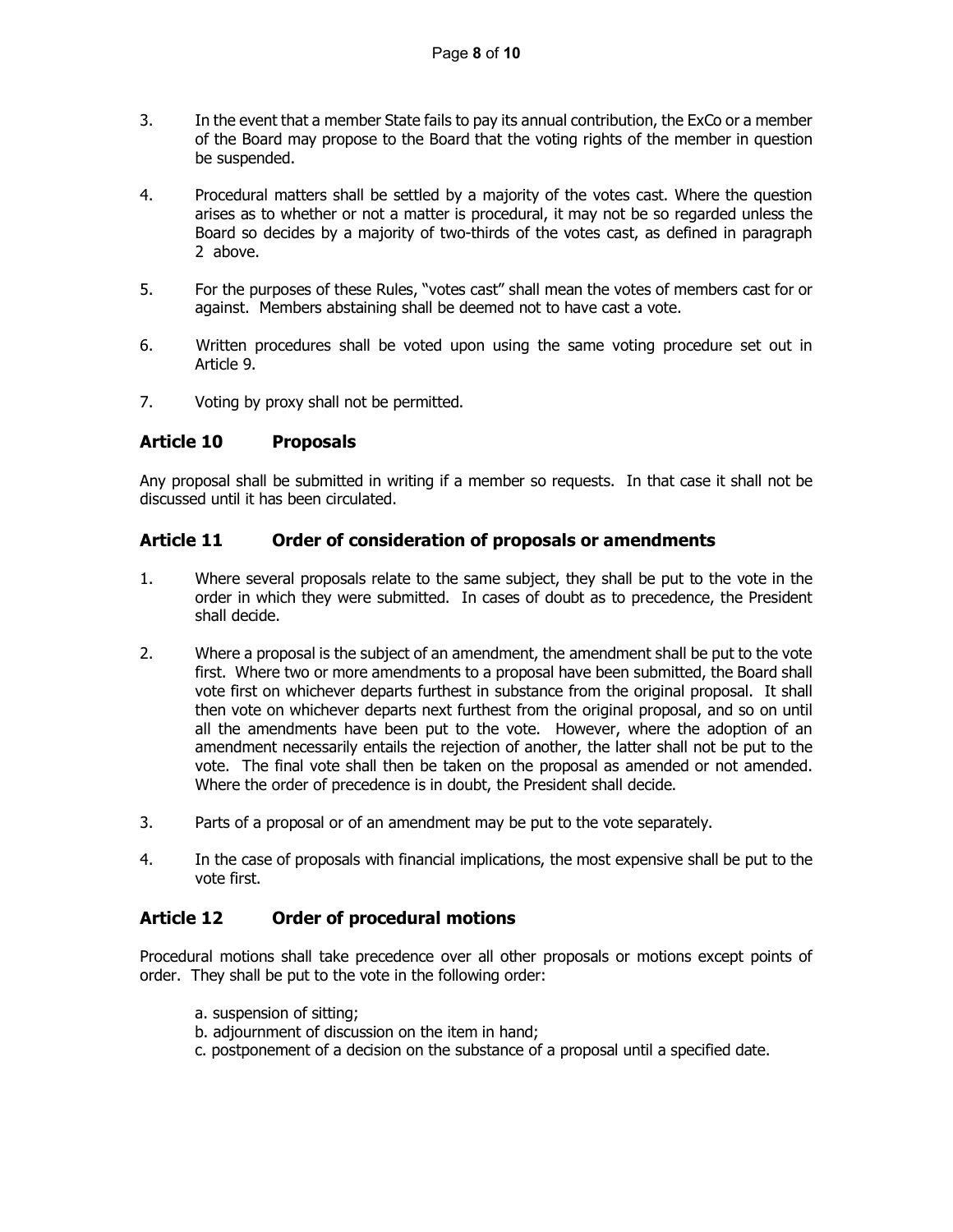- 3. In the event that a member State fails to pay its annual contribution, the ExCo or a member of the Board may propose to the Board that the voting rights of the member in question be suspended.
- 4. Procedural matters shall be settled by a majority of the votes cast. Where the question arises as to whether or not a matter is procedural, it may not be so regarded unless the Board so decides by a majority of two-thirds of the votes cast, as defined in paragraph 2 above.
- 5. For the purposes of these Rules, "votes cast" shall mean the votes of members cast for or against. Members abstaining shall be deemed not to have cast a vote.
- 6. Written procedures shall be voted upon using the same voting procedure set out in Article 9.
- 7. Voting by proxy shall not be permitted.

### <span id="page-7-0"></span>**Article 10 Proposals**

Any proposal shall be submitted in writing if a member so requests. In that case it shall not be discussed until it has been circulated.

### <span id="page-7-1"></span>**Article 11 Order of consideration of proposals or amendments**

- 1. Where several proposals relate to the same subject, they shall be put to the vote in the order in which they were submitted. In cases of doubt as to precedence, the President shall decide.
- 2. Where a proposal is the subject of an amendment, the amendment shall be put to the vote first. Where two or more amendments to a proposal have been submitted, the Board shall vote first on whichever departs furthest in substance from the original proposal. It shall then vote on whichever departs next furthest from the original proposal, and so on until all the amendments have been put to the vote. However, where the adoption of an amendment necessarily entails the rejection of another, the latter shall not be put to the vote. The final vote shall then be taken on the proposal as amended or not amended. Where the order of precedence is in doubt, the President shall decide.
- 3. Parts of a proposal or of an amendment may be put to the vote separately.
- 4. In the case of proposals with financial implications, the most expensive shall be put to the vote first.

### <span id="page-7-2"></span>**Article 12 Order of procedural motions**

Procedural motions shall take precedence over all other proposals or motions except points of order. They shall be put to the vote in the following order:

- a. suspension of sitting;
- b. adjournment of discussion on the item in hand;
- c. postponement of a decision on the substance of a proposal until a specified date.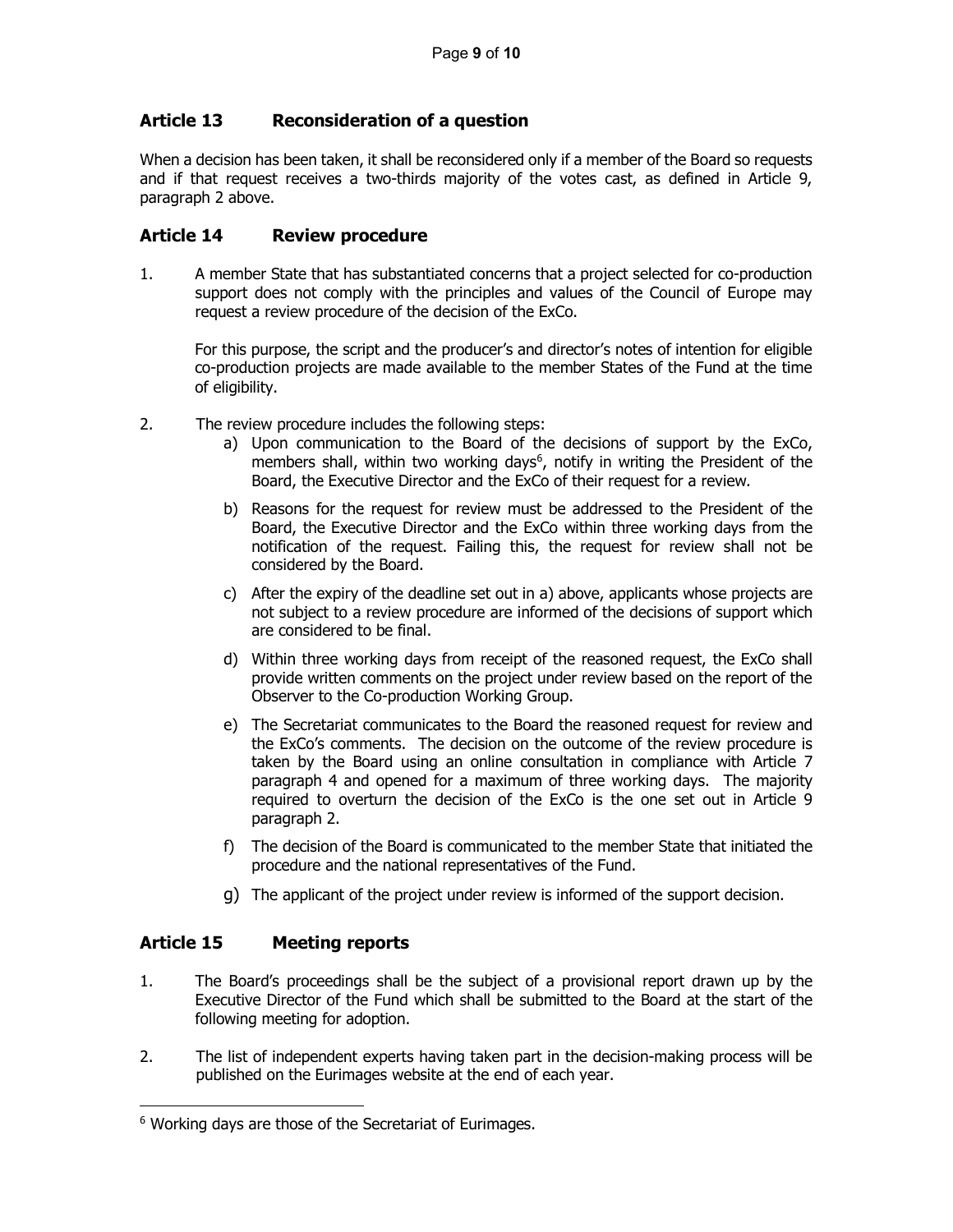# <span id="page-8-0"></span>**Article 13 Reconsideration of a question**

When a decision has been taken, it shall be reconsidered only if a member of the Board so requests and if that request receives a two-thirds majority of the votes cast, as defined in Article 9, paragraph 2 above.

### <span id="page-8-1"></span>**Article 14 Review procedure**

1. A member State that has substantiated concerns that a project selected for co-production support does not comply with the principles and values of the Council of Europe may request a review procedure of the decision of the ExCo.

For this purpose, the script and the producer's and director's notes of intention for eligible co-production projects are made available to the member States of the Fund at the time of eligibility.

- 2. The review procedure includes the following steps:
	- a) Upon communication to the Board of the decisions of support by the ExCo, members shall, within two working days<sup>6</sup>, notify in writing the President of the Board, the Executive Director and the ExCo of their request for a review.
	- b) Reasons for the request for review must be addressed to the President of the Board, the Executive Director and the ExCo within three working days from the notification of the request. Failing this, the request for review shall not be considered by the Board.
	- c) After the expiry of the deadline set out in a) above, applicants whose projects are not subject to a review procedure are informed of the decisions of support which are considered to be final.
	- d) Within three working days from receipt of the reasoned request, the ExCo shall provide written comments on the project under review based on the report of the Observer to the Co-production Working Group.
	- e) The Secretariat communicates to the Board the reasoned request for review and the ExCo's comments. The decision on the outcome of the review procedure is taken by the Board using an online consultation in compliance with Article 7 paragraph 4 and opened for a maximum of three working days. The majority required to overturn the decision of the ExCo is the one set out in Article 9 paragraph 2.
	- f) The decision of the Board is communicated to the member State that initiated the procedure and the national representatives of the Fund.
	- g) The applicant of the project under review is informed of the support decision.

# <span id="page-8-2"></span>**Article 15 Meeting reports**

- 1. The Board's proceedings shall be the subject of a provisional report drawn up by the Executive Director of the Fund which shall be submitted to the Board at the start of the following meeting for adoption.
- 2. The list of independent experts having taken part in the decision-making process will be published on the Eurimages website at the end of each year.

<span id="page-8-3"></span><sup>&</sup>lt;sup>6</sup> Working days are those of the Secretariat of Eurimages.